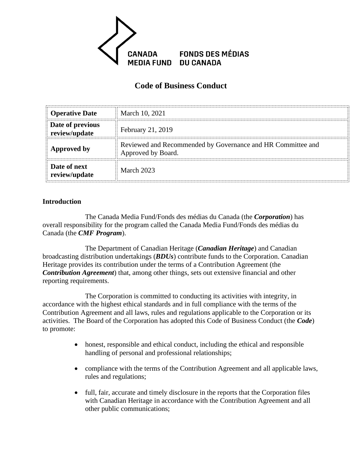

# **Code of Business Conduct**

| <b>Operative Date</b>             | March 10, 2021                                                                    |
|-----------------------------------|-----------------------------------------------------------------------------------|
| Date of previous<br>review/update | February 21, 2019                                                                 |
| Approved by                       | Reviewed and Recommended by Governance and HR Committee and<br>Approved by Board. |
| Date of next<br>review/update     | March 2023                                                                        |

#### **Introduction**

The Canada Media Fund/Fonds des médias du Canada (the *Corporation*) has overall responsibility for the program called the Canada Media Fund/Fonds des médias du Canada (the *CMF Program*).

The Department of Canadian Heritage (*Canadian Heritage*) and Canadian broadcasting distribution undertakings (*BDUs*) contribute funds to the Corporation. Canadian Heritage provides its contribution under the terms of a Contribution Agreement (the *Contribution Agreement*) that, among other things, sets out extensive financial and other reporting requirements.

The Corporation is committed to conducting its activities with integrity, in accordance with the highest ethical standards and in full compliance with the terms of the Contribution Agreement and all laws, rules and regulations applicable to the Corporation or its activities. The Board of the Corporation has adopted this Code of Business Conduct (the *Code*) to promote:

- honest, responsible and ethical conduct, including the ethical and responsible handling of personal and professional relationships;
- compliance with the terms of the Contribution Agreement and all applicable laws, rules and regulations;
- full, fair, accurate and timely disclosure in the reports that the Corporation files with Canadian Heritage in accordance with the Contribution Agreement and all other public communications;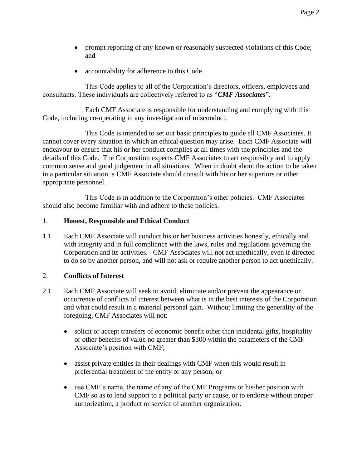- prompt reporting of any known or reasonably suspected violations of this Code; and
- accountability for adherence to this Code.

This Code applies to all of the Corporation's directors, officers, employees and consultants. These individuals are collectively referred to as "*CMF Associates*".

Each CMF Associate is responsible for understanding and complying with this Code, including co-operating in any investigation of misconduct.

This Code is intended to set out basic principles to guide all CMF Associates. It cannot cover every situation in which an ethical question may arise. Each CMF Associate will endeavour to ensure that his or her conduct complies at all times with the principles and the details of this Code. The Corporation expects CMF Associates to act responsibly and to apply common sense and good judgement in all situations. When in doubt about the action to be taken in a particular situation, a CMF Associate should consult with his or her superiors or other appropriate personnel.

This Code is in addition to the Corporation's other policies. CMF Associates should also become familiar with and adhere to these policies.

## 1. **Honest, Responsible and Ethical Conduct**

1.1 Each CMF Associate will conduct his or her business activities honestly, ethically and with integrity and in full compliance with the laws, rules and regulations governing the Corporation and its activities. CMF Associates will not act unethically, even if directed to do so by another person, and will not ask or require another person to act unethically.

## 2. **Conflicts of Interest**

- 2.1 Each CMF Associate will seek to avoid, eliminate and/or prevent the appearance or occurrence of conflicts of interest between what is in the best interests of the Corporation and what could result in a material personal gain. Without limiting the generality of the foregoing, CMF Associates will not:
	- solicit or accept transfers of economic benefit other than incidental gifts, hospitality or other benefits of value no greater than \$300 within the parameters of the CMF Associate's position with CMF;
	- assist private entities in their dealings with CMF when this would result in preferential treatment of the entity or any person; or
	- use CMF's name, the name of any of the CMF Programs or his/her position with CMF so as to lend support to a political party or cause, or to endorse without proper authorization, a product or service of another organization.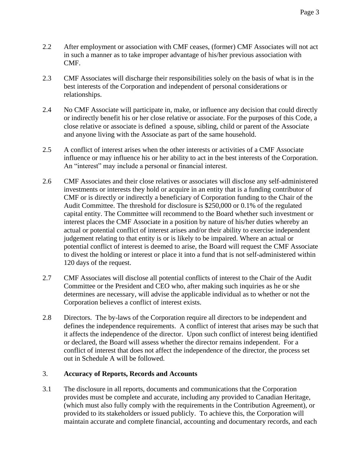- 2.2 After employment or association with CMF ceases, (former) CMF Associates will not act in such a manner as to take improper advantage of his/her previous association with CMF.
- 2.3 CMF Associates will discharge their responsibilities solely on the basis of what is in the best interests of the Corporation and independent of personal considerations or relationships.
- 2.4 No CMF Associate will participate in, make, or influence any decision that could directly or indirectly benefit his or her close relative or associate. For the purposes of this Code, a close relative or associate is defined a spouse, sibling, child or parent of the Associate and anyone living with the Associate as part of the same household.
- 2.5 A conflict of interest arises when the other interests or activities of a CMF Associate influence or may influence his or her ability to act in the best interests of the Corporation. An "interest" may include a personal or financial interest.
- 2.6 CMF Associates and their close relatives or associates will disclose any self-administered investments or interests they hold or acquire in an entity that is a funding contributor of CMF or is directly or indirectly a beneficiary of Corporation funding to the Chair of the Audit Committee. The threshold for disclosure is \$250,000 or 0.1% of the regulated capital entity. The Committee will recommend to the Board whether such investment or interest places the CMF Associate in a position by nature of his/her duties whereby an actual or potential conflict of interest arises and/or their ability to exercise independent judgement relating to that entity is or is likely to be impaired. Where an actual or potential conflict of interest is deemed to arise, the Board will request the CMF Associate to divest the holding or interest or place it into a fund that is not self-administered within 120 days of the request.
- 2.7 CMF Associates will disclose all potential conflicts of interest to the Chair of the Audit Committee or the President and CEO who, after making such inquiries as he or she determines are necessary, will advise the applicable individual as to whether or not the Corporation believes a conflict of interest exists.
- 2.8 Directors. The by-laws of the Corporation require all directors to be independent and defines the independence requirements. A conflict of interest that arises may be such that it affects the independence of the director. Upon such conflict of interest being identified or declared, the Board will assess whether the director remains independent. For a conflict of interest that does not affect the independence of the director, the process set out in Schedule A will be followed.

## 3. **Accuracy of Reports, Records and Accounts**

3.1 The disclosure in all reports, documents and communications that the Corporation provides must be complete and accurate, including any provided to Canadian Heritage, (which must also fully comply with the requirements in the Contribution Agreement), or provided to its stakeholders or issued publicly. To achieve this, the Corporation will maintain accurate and complete financial, accounting and documentary records, and each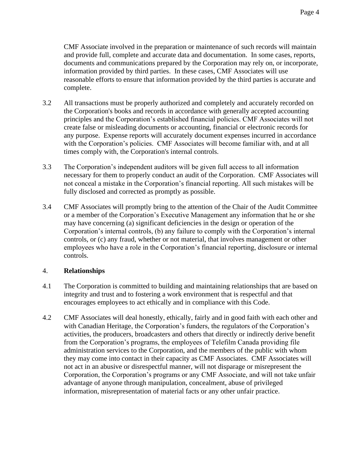CMF Associate involved in the preparation or maintenance of such records will maintain and provide full, complete and accurate data and documentation. In some cases, reports, documents and communications prepared by the Corporation may rely on, or incorporate, information provided by third parties. In these cases, CMF Associates will use reasonable efforts to ensure that information provided by the third parties is accurate and complete.

- 3.2 All transactions must be properly authorized and completely and accurately recorded on the Corporation's books and records in accordance with generally accepted accounting principles and the Corporation's established financial policies. CMF Associates will not create false or misleading documents or accounting, financial or electronic records for any purpose. Expense reports will accurately document expenses incurred in accordance with the Corporation's policies. CMF Associates will become familiar with, and at all times comply with, the Corporation's internal controls.
- 3.3 The Corporation's independent auditors will be given full access to all information necessary for them to properly conduct an audit of the Corporation. CMF Associates will not conceal a mistake in the Corporation's financial reporting. All such mistakes will be fully disclosed and corrected as promptly as possible.
- 3.4 CMF Associates will promptly bring to the attention of the Chair of the Audit Committee or a member of the Corporation's Executive Management any information that he or she may have concerning (a) significant deficiencies in the design or operation of the Corporation's internal controls, (b) any failure to comply with the Corporation's internal controls, or (c) any fraud, whether or not material, that involves management or other employees who have a role in the Corporation's financial reporting, disclosure or internal controls.

## 4. **Relationships**

- 4.1 The Corporation is committed to building and maintaining relationships that are based on integrity and trust and to fostering a work environment that is respectful and that encourages employees to act ethically and in compliance with this Code.
- 4.2 CMF Associates will deal honestly, ethically, fairly and in good faith with each other and with Canadian Heritage, the Corporation's funders, the regulators of the Corporation's activities, the producers, broadcasters and others that directly or indirectly derive benefit from the Corporation's programs, the employees of Telefilm Canada providing file administration services to the Corporation, and the members of the public with whom they may come into contact in their capacity as CMF Associates. CMF Associates will not act in an abusive or disrespectful manner, will not disparage or misrepresent the Corporation, the Corporation's programs or any CMF Associate, and will not take unfair advantage of anyone through manipulation, concealment, abuse of privileged information, misrepresentation of material facts or any other unfair practice.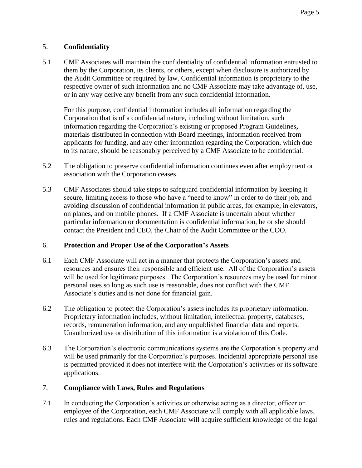# 5. **Confidentiality**

5.1 CMF Associates will maintain the confidentiality of confidential information entrusted to them by the Corporation, its clients, or others, except when disclosure is authorized by the Audit Committee or required by law. Confidential information is proprietary to the respective owner of such information and no CMF Associate may take advantage of, use, or in any way derive any benefit from any such confidential information.

For this purpose, confidential information includes all information regarding the Corporation that is of a confidential nature, including without limitation, such information regarding the Corporation's existing or proposed Program Guidelines**,** materials distributed in connection with Board meetings, information received from applicants for funding, and any other information regarding the Corporation, which due to its nature, should be reasonably perceived by a CMF Associate to be confidential.

- 5.2 The obligation to preserve confidential information continues even after employment or association with the Corporation ceases.
- 5.3 CMF Associates should take steps to safeguard confidential information by keeping it secure, limiting access to those who have a "need to know" in order to do their job, and avoiding discussion of confidential information in public areas, for example, in elevators, on planes, and on mobile phones. If a CMF Associate is uncertain about whether particular information or documentation is confidential information, he or she should contact the President and CEO, the Chair of the Audit Committee or the COO.

## 6. **Protection and Proper Use of the Corporation's Assets**

- 6.1 Each CMF Associate will act in a manner that protects the Corporation's assets and resources and ensures their responsible and efficient use. All of the Corporation's assets will be used for legitimate purposes. The Corporation's resources may be used for minor personal uses so long as such use is reasonable, does not conflict with the CMF Associate's duties and is not done for financial gain.
- 6.2 The obligation to protect the Corporation's assets includes its proprietary information. Proprietary information includes, without limitation, intellectual property, databases, records, remuneration information, and any unpublished financial data and reports. Unauthorized use or distribution of this information is a violation of this Code.
- 6.3 The Corporation's electronic communications systems are the Corporation's property and will be used primarily for the Corporation's purposes. Incidental appropriate personal use is permitted provided it does not interfere with the Corporation's activities or its software applications.

# 7. **Compliance with Laws, Rules and Regulations**

7.1 In conducting the Corporation's activities or otherwise acting as a director, officer or employee of the Corporation, each CMF Associate will comply with all applicable laws, rules and regulations. Each CMF Associate will acquire sufficient knowledge of the legal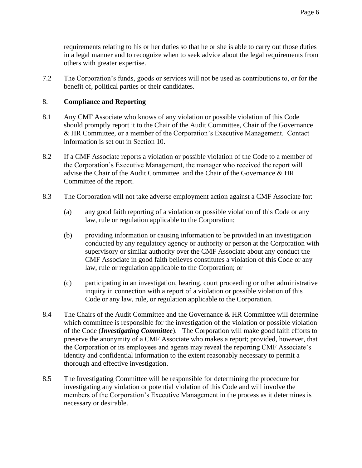requirements relating to his or her duties so that he or she is able to carry out those duties in a legal manner and to recognize when to seek advice about the legal requirements from others with greater expertise.

7.2 The Corporation's funds, goods or services will not be used as contributions to, or for the benefit of, political parties or their candidates.

## 8. **Compliance and Reporting**

- 8.1 Any CMF Associate who knows of any violation or possible violation of this Code should promptly report it to the Chair of the Audit Committee, Chair of the Governance & HR Committee, or a member of the Corporation's Executive Management. Contact information is set out in Section 10.
- 8.2 If a CMF Associate reports a violation or possible violation of the Code to a member of the Corporation's Executive Management, the manager who received the report will advise the Chair of the Audit Committee and the Chair of the Governance & HR Committee of the report.
- 8.3 The Corporation will not take adverse employment action against a CMF Associate for:
	- (a) any good faith reporting of a violation or possible violation of this Code or any law, rule or regulation applicable to the Corporation;
	- (b) providing information or causing information to be provided in an investigation conducted by any regulatory agency or authority or person at the Corporation with supervisory or similar authority over the CMF Associate about any conduct the CMF Associate in good faith believes constitutes a violation of this Code or any law, rule or regulation applicable to the Corporation; or
	- (c) participating in an investigation, hearing, court proceeding or other administrative inquiry in connection with a report of a violation or possible violation of this Code or any law, rule, or regulation applicable to the Corporation.
- 8.4 The Chairs of the Audit Committee and the Governance & HR Committee will determine which committee is responsible for the investigation of the violation or possible violation of the Code (*Investigating Committee*). The Corporation will make good faith efforts to preserve the anonymity of a CMF Associate who makes a report; provided, however, that the Corporation or its employees and agents may reveal the reporting CMF Associate's identity and confidential information to the extent reasonably necessary to permit a thorough and effective investigation.
- 8.5 The Investigating Committee will be responsible for determining the procedure for investigating any violation or potential violation of this Code and will involve the members of the Corporation's Executive Management in the process as it determines is necessary or desirable.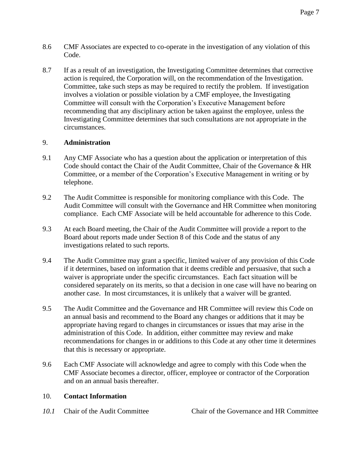- 8.6 CMF Associates are expected to co-operate in the investigation of any violation of this Code.
- 8.7 If as a result of an investigation, the Investigating Committee determines that corrective action is required, the Corporation will, on the recommendation of the Investigation. Committee, take such steps as may be required to rectify the problem. If investigation involves a violation or possible violation by a CMF employee, the Investigating Committee will consult with the Corporation's Executive Management before recommending that any disciplinary action be taken against the employee, unless the Investigating Committee determines that such consultations are not appropriate in the circumstances.

## 9. **Administration**

- 9.1 Any CMF Associate who has a question about the application or interpretation of this Code should contact the Chair of the Audit Committee, Chair of the Governance & HR Committee, or a member of the Corporation's Executive Management in writing or by telephone.
- 9.2 The Audit Committee is responsible for monitoring compliance with this Code. The Audit Committee will consult with the Governance and HR Committee when monitoring compliance. Each CMF Associate will be held accountable for adherence to this Code.
- 9.3 At each Board meeting, the Chair of the Audit Committee will provide a report to the Board about reports made under Section 8 of this Code and the status of any investigations related to such reports.
- 9.4 The Audit Committee may grant a specific, limited waiver of any provision of this Code if it determines, based on information that it deems credible and persuasive, that such a waiver is appropriate under the specific circumstances. Each fact situation will be considered separately on its merits, so that a decision in one case will have no bearing on another case. In most circumstances, it is unlikely that a waiver will be granted.
- 9.5 The Audit Committee and the Governance and HR Committee will review this Code on an annual basis and recommend to the Board any changes or additions that it may be appropriate having regard to changes in circumstances or issues that may arise in the administration of this Code. In addition, either committee may review and make recommendations for changes in or additions to this Code at any other time it determines that this is necessary or appropriate.
- 9.6 Each CMF Associate will acknowledge and agree to comply with this Code when the CMF Associate becomes a director, officer, employee or contractor of the Corporation and on an annual basis thereafter.

## 10. **Contact Information**

*10.1* Chair of the Audit Committee Chair of the Governance and HR Committee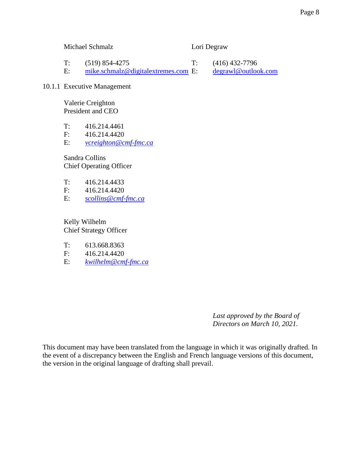Michael Schmalz Lori Degraw

T: (519) 854-4275 T: (416) 432-7796 E: [mike.schmalz@digitalextremes.com](mailto:mike.schmalz@digitalextremes.com) E: [degrawl@outlook.com](mailto:degrawl@outlook.com)

#### 10.1.1 Executive Management

Valerie Creighton President and CEO

T: 416.214.4461

F: 416.214.4420

E: *[vcreighton@cmf-fmc.ca](mailto:vcreighton@cmf-fmc.ca)*

Sandra Collins Chief Operating Officer

- T: 416.214.4433
- F: 416.214.4420
- E: *[scollins@cmf-fmc.ca](mailto:scollins@cmf-fmc.ca)*

Kelly Wilhelm Chief Strategy Officer

- T: 613.668.8363
- F: 416.214.4420
- E: *[kwilhelm@cmf-fmc.ca](mailto:kwilhelm@cmf-fmc.ca)*

*Last approved by the Board of Directors on March 10, 2021.*

This document may have been translated from the language in which it was originally drafted. In the event of a discrepancy between the English and French language versions of this document, the version in the original language of drafting shall prevail.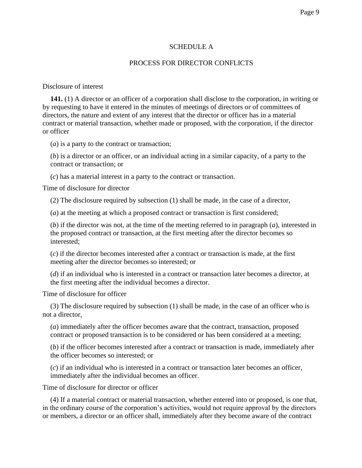#### SCHEDULE A

#### PROCESS FOR DIRECTOR CONFLICTS

#### Disclosure of interest

**141.** (1) A director or an officer of a corporation shall disclose to the corporation, in writing or by requesting to have it entered in the minutes of meetings of directors or of committees of directors, the nature and extent of any interest that the director or officer has in a material contract or material transaction, whether made or proposed, with the corporation, if the director or officer

(*a*) is a party to the contract or transaction;

(*b*) is a director or an officer, or an individual acting in a similar capacity, of a party to the contract or transaction; or

(*c*) has a material interest in a party to the contract or transaction.

Time of disclosure for director

(2) The disclosure required by subsection (1) shall be made, in the case of a director,

(*a*) at the meeting at which a proposed contract or transaction is first considered;

(*b*) if the director was not, at the time of the meeting referred to in paragraph (*a*), interested in the proposed contract or transaction, at the first meeting after the director becomes so interested;

(*c*) if the director becomes interested after a contract or transaction is made, at the first meeting after the director becomes so interested; or

(*d*) if an individual who is interested in a contract or transaction later becomes a director, at the first meeting after the individual becomes a director.

Time of disclosure for officer

(3) The disclosure required by subsection (1) shall be made, in the case of an officer who is not a director,

(*a*) immediately after the officer becomes aware that the contract, transaction, proposed contract or proposed transaction is to be considered or has been considered at a meeting;

(*b*) if the officer becomes interested after a contract or transaction is made, immediately after the officer becomes so interested; or

(*c*) if an individual who is interested in a contract or transaction later becomes an officer, immediately after the individual becomes an officer.

Time of disclosure for director or officer

(4) If a material contract or material transaction, whether entered into or proposed, is one that, in the ordinary course of the corporation's activities, would not require approval by the directors or members, a director or an officer shall, immediately after they become aware of the contract